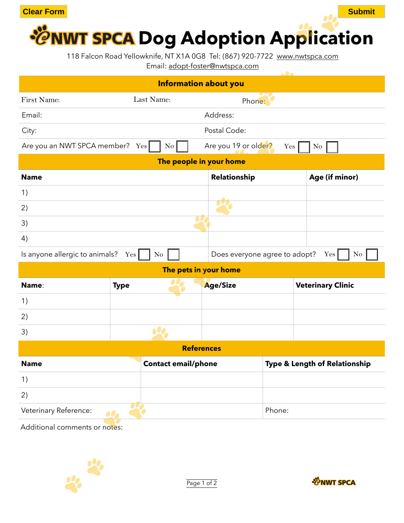

118 Falcon Road Yellowknife, NT X1A 0G8 Tel: (867) 920-7722 [www.nwtspca.com](http://www.nwtspca.com)

Email: [adopt-foster@nwtspca.com](mailto:adopt-foster@nwtspca.com)

| <b>Information about you</b>    |                            |                               |                               |  |
|---------------------------------|----------------------------|-------------------------------|-------------------------------|--|
| <b>First Name:</b>              | Last Name:                 | Phone:                        |                               |  |
| Email:                          |                            | Address:                      |                               |  |
| City:                           |                            | Postal Code:                  |                               |  |
| Are you an NWT SPCA member? Yes | $\rm{No}$                  | Are you 19 or older?          | Yes<br>No                     |  |
| The people in your home         |                            |                               |                               |  |
| <b>Name</b>                     |                            | Relationship                  | Age (if minor)                |  |
| 1)                              |                            |                               |                               |  |
| 2)                              |                            |                               |                               |  |
| 3)                              |                            |                               |                               |  |
| 4)                              |                            |                               |                               |  |
| Is anyone allergic to animals?  | $Yes \vert$<br>$\rm No$    | Does everyone agree to adopt? | Yes <sup>1</sup><br>No        |  |
| The pets in your home           |                            |                               |                               |  |
| Name:                           | <b>Type</b>                | <b>Age/Size</b>               | <b>Veterinary Clinic</b>      |  |
| 1)                              |                            |                               |                               |  |
| 2)                              |                            |                               |                               |  |
| 3)                              |                            |                               |                               |  |
| <b>References</b>               |                            |                               |                               |  |
| <b>Name</b>                     | <b>Contact email/phone</b> |                               | Type & Length of Relationship |  |
| 1)                              |                            |                               |                               |  |
| 2)                              |                            |                               |                               |  |
| Veterinary Reference:           | $\bullet$                  | Phone:                        |                               |  |
| Additional comments or notes:   |                            |                               |                               |  |